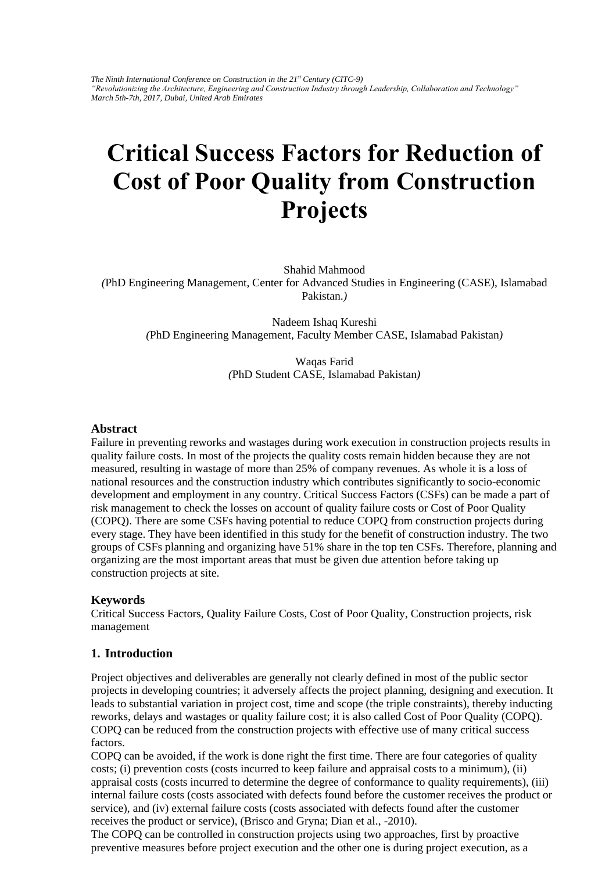*The Ninth International Conference on Construction in the 21st Century (CITC-9) "Revolutionizing the Architecture, Engineering and Construction Industry through Leadership, Collaboration and Technology" March 5th-7th, 2017, Dubai, United Arab Emirates*

# **Critical Success Factors for Reduction of Cost of Poor Quality from Construction Projects**

Shahid Mahmood *(*PhD Engineering Management, Center for Advanced Studies in Engineering (CASE), Islamabad Pakistan.*)* 

Nadeem Ishaq Kureshi *(*PhD Engineering Management, Faculty Member CASE, Islamabad Pakistan*)* 

> Waqas Farid *(*PhD Student CASE, Islamabad Pakistan*)*

#### **Abstract**

Failure in preventing reworks and wastages during work execution in construction projects results in quality failure costs. In most of the projects the quality costs remain hidden because they are not measured, resulting in wastage of more than 25% of company revenues. As whole it is a loss of national resources and the construction industry which contributes significantly to socio-economic development and employment in any country. Critical Success Factors (CSFs) can be made a part of risk management to check the losses on account of quality failure costs or Cost of Poor Quality (COPQ). There are some CSFs having potential to reduce COPQ from construction projects during every stage. They have been identified in this study for the benefit of construction industry. The two groups of CSFs planning and organizing have 51% share in the top ten CSFs. Therefore, planning and organizing are the most important areas that must be given due attention before taking up construction projects at site.

### **Keywords**

Critical Success Factors, Quality Failure Costs, Cost of Poor Quality, Construction projects, risk management

### **1. Introduction**

Project objectives and deliverables are generally not clearly defined in most of the public sector projects in developing countries; it adversely affects the project planning, designing and execution. It leads to substantial variation in project cost, time and scope (the triple constraints), thereby inducting reworks, delays and wastages or quality failure cost; it is also called Cost of Poor Quality (COPQ). COPQ can be reduced from the construction projects with effective use of many critical success factors.

COPQ can be avoided, if the work is done right the first time. There are four categories of quality costs; (i) prevention costs (costs incurred to keep failure and appraisal costs to a minimum), (ii) appraisal costs (costs incurred to determine the degree of conformance to quality requirements), (iii) internal failure costs (costs associated with defects found before the customer receives the product or service), and (iv) external failure costs (costs associated with defects found after the customer receives the product or service), (Brisco and Gryna; Dian et al., -2010).

The COPQ can be controlled in construction projects using two approaches, first by proactive preventive measures before project execution and the other one is during project execution, as a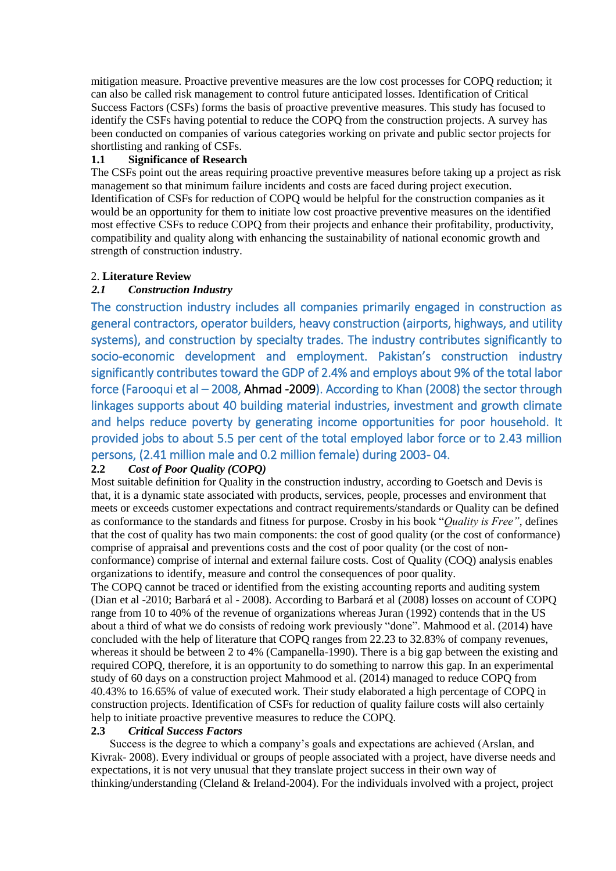mitigation measure. Proactive preventive measures are the low cost processes for COPQ reduction; it can also be called risk management to control future anticipated losses. Identification of Critical Success Factors (CSFs) forms the basis of proactive preventive measures. This study has focused to identify the CSFs having potential to reduce the COPQ from the construction projects. A survey has been conducted on companies of various categories working on private and public sector projects for shortlisting and ranking of CSFs.

## **1.1 Significance of Research**

The CSFs point out the areas requiring proactive preventive measures before taking up a project as risk management so that minimum failure incidents and costs are faced during project execution. Identification of CSFs for reduction of COPQ would be helpful for the construction companies as it would be an opportunity for them to initiate low cost proactive preventive measures on the identified most effective CSFs to reduce COPQ from their projects and enhance their profitability, productivity, compatibility and quality along with enhancing the sustainability of national economic growth and strength of construction industry.

## 2. **Literature Review**

## *2.1 Construction Industry*

The construction industry includes all companies primarily engaged in construction as general contractors, operator builders, heavy construction (airports, highways, and utility systems), and construction by specialty trades. The industry contributes significantly to socio-economic development and employment. Pakistan's construction industry significantly contributes toward the GDP of 2.4% and employs about 9% of the total labor force (Farooqui et al – 2008, Ahmad -2009). According to Khan (2008) the sector through linkages supports about 40 building material industries, investment and growth climate and helps reduce poverty by generating income opportunities for poor household. It provided jobs to about 5.5 per cent of the total employed labor force or to 2.43 million persons, (2.41 million male and 0.2 million female) during 2003-04.<br>2.2 Cost of Poor Ouality (COPO)

# **2.2** *Cost of Poor Quality (COPQ)*

Most suitable definition for Quality in the construction industry, according to Goetsch and Devis is that, it is a dynamic state associated with products, services, people, processes and environment that meets or exceeds customer expectations and contract requirements/standards or Quality can be defined as conformance to the standards and fitness for purpose. Crosby in his book "*Quality is Free"*, defines that the cost of quality has two main components: the cost of good quality (or the cost of conformance) comprise of appraisal and preventions costs and the cost of poor quality (or the cost of nonconformance) comprise of internal and external failure costs. Cost of Quality (COQ) analysis enables organizations to identify, measure and control the consequences of poor quality.

The COPQ cannot be traced or identified from the existing accounting reports and auditing system (Dian et al -2010; Barbará et al - 2008). According to Barbará et al (2008) losses on account of COPQ range from 10 to 40% of the revenue of organizations whereas Juran (1992) contends that in the US about a third of what we do consists of redoing work previously "done". Mahmood et al. (2014) have concluded with the help of literature that COPQ ranges from 22.23 to 32.83% of company revenues, whereas it should be between 2 to 4% (Campanella-1990). There is a big gap between the existing and required COPQ, therefore, it is an opportunity to do something to narrow this gap. In an experimental study of 60 days on a construction project Mahmood et al. (2014) managed to reduce COPQ from 40.43% to 16.65% of value of executed work. Their study elaborated a high percentage of COPQ in construction projects. Identification of CSFs for reduction of quality failure costs will also certainly help to initiate proactive preventive measures to reduce the COPQ.

### **2.3** *Critical Success Factors*

Success is the degree to which a company's goals and expectations are achieved (Arslan, and Kivrak- 2008). Every individual or groups of people associated with a project, have diverse needs and expectations, it is not very unusual that they translate project success in their own way of thinking/understanding (Cleland & Ireland-2004). For the individuals involved with a project, project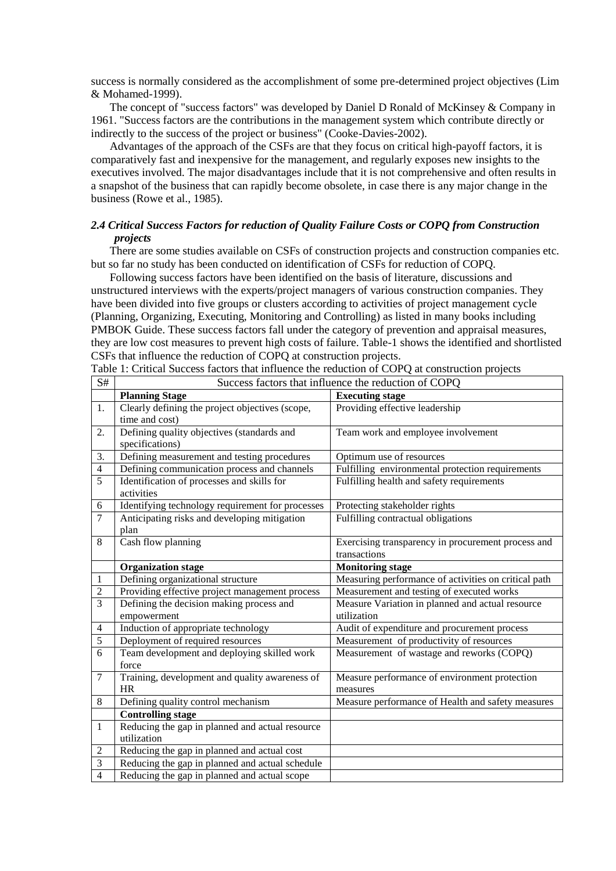success is normally considered as the accomplishment of some pre-determined project objectives (Lim & Mohamed-1999).

The concept of "success factors" was developed by Daniel D Ronald of McKinsey & Company in 1961. "Success factors are the contributions in the management system which contribute directly or indirectly to the success of the project or business" (Cooke-Davies-2002).

Advantages of the approach of the CSFs are that they focus on critical high-payoff factors, it is comparatively fast and inexpensive for the management, and regularly exposes new insights to the executives involved. The major disadvantages include that it is not comprehensive and often results in a snapshot of the business that can rapidly become obsolete, in case there is any major change in the business (Rowe et al., 1985).

## *2.4 Critical Success Factors for reduction of Quality Failure Costs or COPQ from Construction projects*

There are some studies available on CSFs of construction projects and construction companies etc. but so far no study has been conducted on identification of CSFs for reduction of COPQ.

Following success factors have been identified on the basis of literature, discussions and unstructured interviews with the experts/project managers of various construction companies. They have been divided into five groups or clusters according to activities of project management cycle (Planning, Organizing, Executing, Monitoring and Controlling) as listed in many books including PMBOK Guide. These success factors fall under the category of prevention and appraisal measures, they are low cost measures to prevent high costs of failure. Table-1 shows the identified and shortlisted CSFs that influence the reduction of COPQ at construction projects.

| S#             | Success factors that influence the reduction of COPQ |                                                      |  |  |  |
|----------------|------------------------------------------------------|------------------------------------------------------|--|--|--|
|                | <b>Planning Stage</b>                                | <b>Executing stage</b>                               |  |  |  |
| 1.             | Clearly defining the project objectives (scope,      | Providing effective leadership                       |  |  |  |
|                | time and cost)                                       |                                                      |  |  |  |
| 2.             | Defining quality objectives (standards and           | Team work and employee involvement                   |  |  |  |
|                | specifications)                                      |                                                      |  |  |  |
| 3.             | Defining measurement and testing procedures          | Optimum use of resources                             |  |  |  |
| $\overline{4}$ | Defining communication process and channels          | Fulfilling environmental protection requirements     |  |  |  |
| 5              | Identification of processes and skills for           | Fulfilling health and safety requirements            |  |  |  |
|                | activities                                           |                                                      |  |  |  |
| 6              | Identifying technology requirement for processes     | Protecting stakeholder rights                        |  |  |  |
| 7              | Anticipating risks and developing mitigation         | Fulfilling contractual obligations                   |  |  |  |
|                | plan                                                 |                                                      |  |  |  |
| 8              | Cash flow planning                                   | Exercising transparency in procurement process and   |  |  |  |
|                |                                                      | transactions                                         |  |  |  |
|                | <b>Organization stage</b>                            | <b>Monitoring stage</b>                              |  |  |  |
| $\mathbf{1}$   | Defining organizational structure                    | Measuring performance of activities on critical path |  |  |  |
| 2              | Providing effective project management process       | Measurement and testing of executed works            |  |  |  |
| 3              | Defining the decision making process and             | Measure Variation in planned and actual resource     |  |  |  |
|                | empowerment                                          | utilization                                          |  |  |  |
| $\overline{4}$ | Induction of appropriate technology                  | Audit of expenditure and procurement process         |  |  |  |
| 5              | Deployment of required resources                     | Measurement of productivity of resources             |  |  |  |
| 6              | Team development and deploying skilled work          | Measurement of wastage and reworks (COPQ)            |  |  |  |
|                | force                                                |                                                      |  |  |  |
| 7              | Training, development and quality awareness of       | Measure performance of environment protection        |  |  |  |
|                | <b>HR</b>                                            | measures                                             |  |  |  |
| 8              | Defining quality control mechanism                   | Measure performance of Health and safety measures    |  |  |  |
|                | <b>Controlling stage</b>                             |                                                      |  |  |  |
| $\mathbf{1}$   | Reducing the gap in planned and actual resource      |                                                      |  |  |  |
|                | utilization                                          |                                                      |  |  |  |
| 2              | Reducing the gap in planned and actual cost          |                                                      |  |  |  |
| 3              | Reducing the gap in planned and actual schedule      |                                                      |  |  |  |
| 4              | Reducing the gap in planned and actual scope         |                                                      |  |  |  |

Table 1: Critical Success factors that influence the reduction of COPQ at construction projects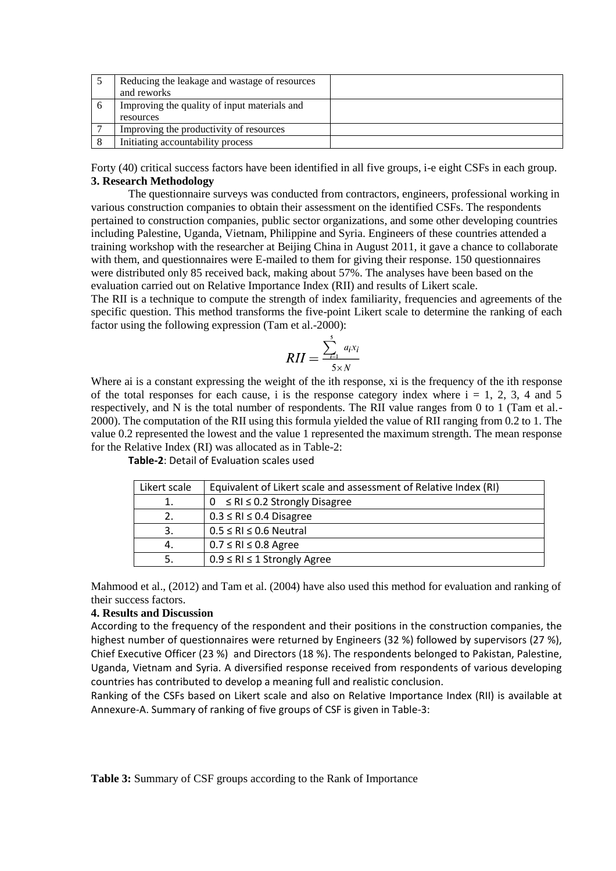| Reducing the leakage and wastage of resources |  |
|-----------------------------------------------|--|
| and reworks                                   |  |
| Improving the quality of input materials and  |  |
| resources                                     |  |
| Improving the productivity of resources       |  |
| Initiating accountability process             |  |

Forty (40) critical success factors have been identified in all five groups, i-e eight CSFs in each group. **3. Research Methodology**

The questionnaire surveys was conducted from contractors, engineers, professional working in various construction companies to obtain their assessment on the identified CSFs. The respondents pertained to construction companies, public sector organizations, and some other developing countries including Palestine, Uganda, Vietnam, Philippine and Syria. Engineers of these countries attended a training workshop with the researcher at Beijing China in August 2011, it gave a chance to collaborate with them, and questionnaires were E-mailed to them for giving their response. 150 questionnaires were distributed only 85 received back, making about 57%. The analyses have been based on the evaluation carried out on Relative Importance Index (RII) and results of Likert scale.

The RII is a technique to compute the strength of index familiarity, frequencies and agreements of the specific question. This method transforms the five-point Likert scale to determine the ranking of each factor using the following expression (Tam et al.-2000):

$$
RII = \frac{\sum_{i=1}^{5} a_i x_i}{5 \times N}
$$

Where ai is a constant expressing the weight of the ith response, xi is the frequency of the ith response of the total responses for each cause, i is the response category index where  $i = 1, 2, 3, 4$  and 5 respectively, and N is the total number of respondents. The RII value ranges from 0 to 1 (Tam et al.- 2000). The computation of the RII using this formula yielded the value of RII ranging from 0.2 to 1. The value 0.2 represented the lowest and the value 1 represented the maximum strength. The mean response for the Relative Index (RI) was allocated as in Table-2:

| Likert scale | Equivalent of Likert scale and assessment of Relative Index (RI) |
|--------------|------------------------------------------------------------------|
| 1.           | $0 \leq R l \leq 0.2$ Strongly Disagree                          |
| 2.           | $0.3 \leq RI \leq 0.4$ Disagree                                  |
| 3.           | $0.5 \leq RI \leq 0.6$ Neutral                                   |
| 4.           | $0.7 \leq RI \leq 0.8$ Agree                                     |
| .5           | $0.9 \leq RI \leq 1$ Strongly Agree                              |
|              |                                                                  |

**Table-2**: Detail of Evaluation scales used

Mahmood et al., (2012) and Tam et al. (2004) have also used this method for evaluation and ranking of their success factors.

#### **4. Results and Discussion**

According to the frequency of the respondent and their positions in the construction companies, the highest number of questionnaires were returned by Engineers (32 %) followed by supervisors (27 %), Chief Executive Officer (23 %) and Directors (18 %). The respondents belonged to Pakistan, Palestine, Uganda, Vietnam and Syria. A diversified response received from respondents of various developing countries has contributed to develop a meaning full and realistic conclusion.

Ranking of the CSFs based on Likert scale and also on Relative Importance Index (RII) is available at Annexure-A. Summary of ranking of five groups of CSF is given in Table-3: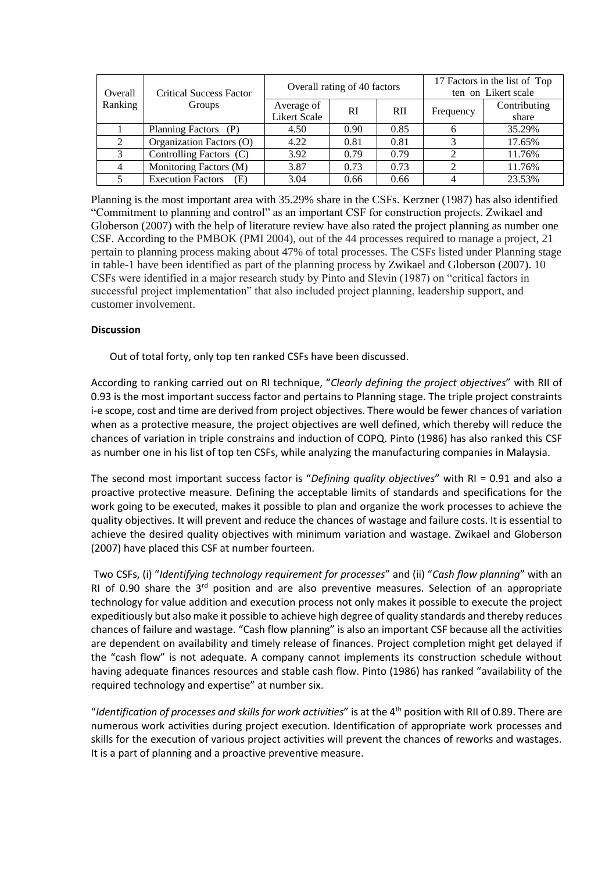| Overall | <b>Critical Success Factor</b><br>Groups | Overall rating of 40 factors      |               |            | 17 Factors in the list of Top<br>ten on Likert scale |                       |
|---------|------------------------------------------|-----------------------------------|---------------|------------|------------------------------------------------------|-----------------------|
| Ranking |                                          | Average of<br><b>Likert Scale</b> | <sub>RI</sub> | <b>RII</b> | Frequency                                            | Contributing<br>share |
|         | Planning Factors (P)                     | 4.50                              | 0.90          | 0.85       |                                                      | 35.29%                |
|         | Organization Factors (O)                 | 4.22                              | 0.81          | 0.81       |                                                      | 17.65%                |
|         | Controlling Factors (C)                  | 3.92                              | 0.79          | 0.79       |                                                      | 11.76%                |
|         | Monitoring Factors (M)                   | 3.87                              | 0.73          | 0.73       |                                                      | 11.76%                |
|         | <b>Execution Factors</b><br>(E)          | 3.04                              | 0.66          | 0.66       |                                                      | 23.53%                |

Planning is the most important area with 35.29% share in the CSFs. Kerzner (1987) has also identified "Commitment to planning and control" as an important CSF for construction projects. Zwikael and Globerson (2007) with the help of literature review have also rated the project planning as number one CSF. According to the PMBOK (PMI 2004), out of the 44 processes required to manage a project, 21 pertain to planning process making about 47% of total processes. The CSFs listed under Planning stage in table-1 have been identified as part of the planning process by Zwikael and Globerson (2007). 10 CSFs were identified in a major research study by Pinto and Slevin (1987) on "critical factors in successful project implementation" that also included project planning, leadership support, and customer involvement.

### **Discussion**

Out of total forty, only top ten ranked CSFs have been discussed.

According to ranking carried out on RI technique, "*Clearly defining the project objectives*" with RII of 0.93 is the most important success factor and pertains to Planning stage. The triple project constraints i-e scope, cost and time are derived from project objectives. There would be fewer chances of variation when as a protective measure, the project objectives are well defined, which thereby will reduce the chances of variation in triple constrains and induction of COPQ. Pinto (1986) has also ranked this CSF as number one in his list of top ten CSFs, while analyzing the manufacturing companies in Malaysia.

The second most important success factor is "*Defining quality objectives*" with RI = 0.91 and also a proactive protective measure. Defining the acceptable limits of standards and specifications for the work going to be executed, makes it possible to plan and organize the work processes to achieve the quality objectives. It will prevent and reduce the chances of wastage and failure costs. It is essential to achieve the desired quality objectives with minimum variation and wastage. Zwikael and Globerson (2007) have placed this CSF at number fourteen.

Two CSFs, (i) "*Identifying technology requirement for processes*" and (ii) "*Cash flow planning*" with an RI of 0.90 share the  $3<sup>rd</sup>$  position and are also preventive measures. Selection of an appropriate technology for value addition and execution process not only makes it possible to execute the project expeditiously but also make it possible to achieve high degree of quality standards and thereby reduces chances of failure and wastage. "Cash flow planning" is also an important CSF because all the activities are dependent on availability and timely release of finances. Project completion might get delayed if the "cash flow" is not adequate. A company cannot implements its construction schedule without having adequate finances resources and stable cash flow. Pinto (1986) has ranked "availability of the required technology and expertise" at number six.

"*Identification of processes and skills for work activities*" is at the 4th position with RII of 0.89. There are numerous work activities during project execution. Identification of appropriate work processes and skills for the execution of various project activities will prevent the chances of reworks and wastages. It is a part of planning and a proactive preventive measure.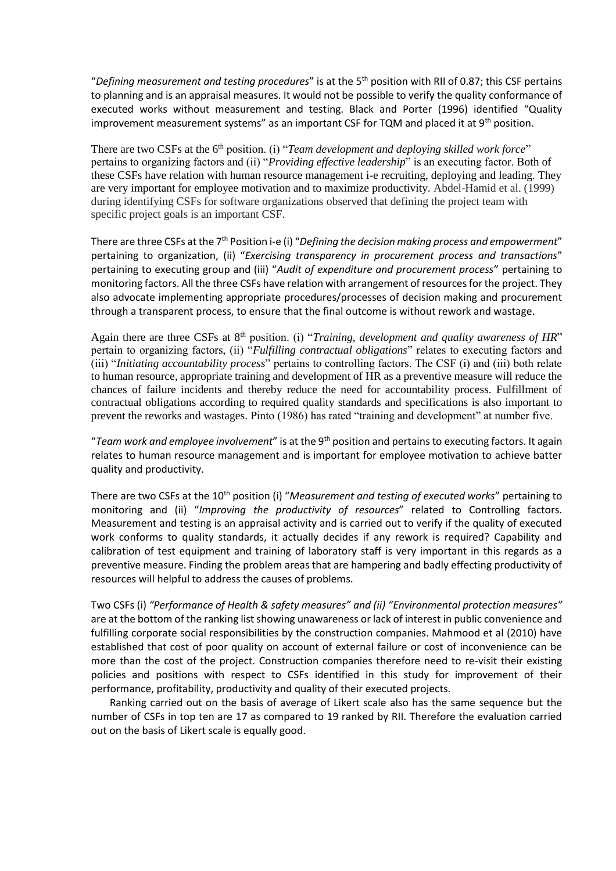"*Defining measurement and testing procedures*" is at the 5th position with RII of 0.87; this CSF pertains to planning and is an appraisal measures. It would not be possible to verify the quality conformance of executed works without measurement and testing. Black and Porter (1996) identified "Quality improvement measurement systems" as an important CSF for TQM and placed it at 9<sup>th</sup> position.

There are two CSFs at the 6<sup>th</sup> position. (i) "*Team development and deploying skilled work force*" pertains to organizing factors and (ii) "*Providing effective leadership*" is an executing factor. Both of these CSFs have relation with human resource management i-e recruiting, deploying and leading. They are very important for employee motivation and to maximize productivity. Abdel-Hamid et al. (1999) during identifying CSFs for software organizations observed that defining the project team with specific project goals is an important CSF.

There are three CSFs at the 7<sup>th</sup> Position i-e (i) "Defining the decision making process and empowerment" pertaining to organization, (ii) "*Exercising transparency in procurement process and transactions*" pertaining to executing group and (iii) "*Audit of expenditure and procurement process*" pertaining to monitoring factors. All the three CSFs have relation with arrangement of resources for the project. They also advocate implementing appropriate procedures/processes of decision making and procurement through a transparent process, to ensure that the final outcome is without rework and wastage.

Again there are three CSFs at 8<sup>th</sup> position. (i) "*Training, development and quality awareness of HR*" pertain to organizing factors, (ii) "*Fulfilling contractual obligations*" relates to executing factors and (iii) "*Initiating accountability process*" pertains to controlling factors. The CSF (i) and (iii) both relate to human resource, appropriate training and development of HR as a preventive measure will reduce the chances of failure incidents and thereby reduce the need for accountability process. Fulfillment of contractual obligations according to required quality standards and specifications is also important to prevent the reworks and wastages. Pinto (1986) has rated "training and development" at number five.

"*Team work and employee involvement*" is at the 9th position and pertains to executing factors. It again relates to human resource management and is important for employee motivation to achieve batter quality and productivity.

There are two CSFs at the 10th position (i) "*Measurement and testing of executed works*" pertaining to monitoring and (ii) "*Improving the productivity of resources*" related to Controlling factors. Measurement and testing is an appraisal activity and is carried out to verify if the quality of executed work conforms to quality standards, it actually decides if any rework is required? Capability and calibration of test equipment and training of laboratory staff is very important in this regards as a preventive measure. Finding the problem areas that are hampering and badly effecting productivity of resources will helpful to address the causes of problems.

Two CSFs (i) *"Performance of Health & safety measures" and (ii) "Environmental protection measures"*  are at the bottom of the ranking list showing unawareness or lack of interest in public convenience and fulfilling corporate social responsibilities by the construction companies. Mahmood et al (2010) have established that cost of poor quality on account of external failure or cost of inconvenience can be more than the cost of the project. Construction companies therefore need to re-visit their existing policies and positions with respect to CSFs identified in this study for improvement of their performance, profitability, productivity and quality of their executed projects.

Ranking carried out on the basis of average of Likert scale also has the same sequence but the number of CSFs in top ten are 17 as compared to 19 ranked by RII. Therefore the evaluation carried out on the basis of Likert scale is equally good.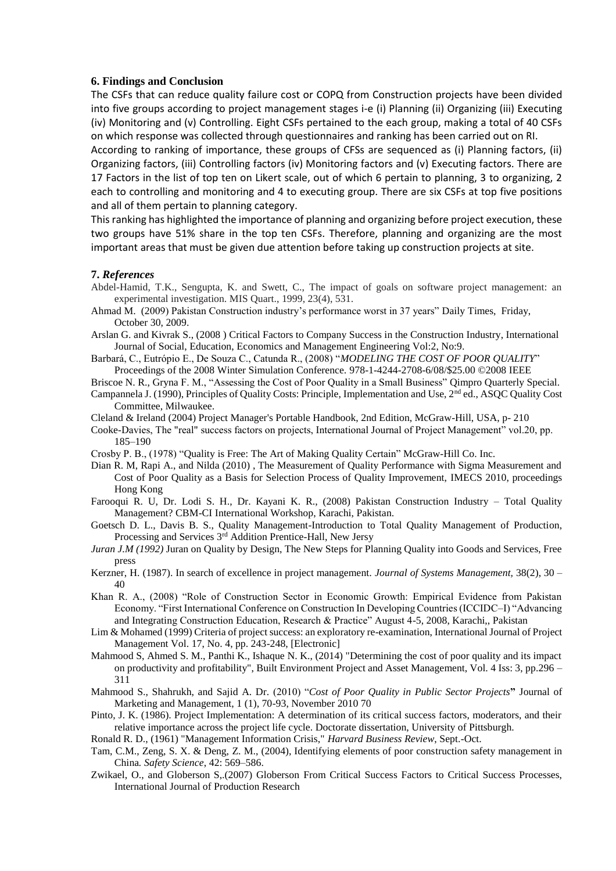#### **6. Findings and Conclusion**

The CSFs that can reduce quality failure cost or COPQ from Construction projects have been divided into five groups according to project management stages i-e (i) Planning (ii) Organizing (iii) Executing (iv) Monitoring and (v) Controlling. Eight CSFs pertained to the each group, making a total of 40 CSFs on which response was collected through questionnaires and ranking has been carried out on RI.

According to ranking of importance, these groups of CFSs are sequenced as (i) Planning factors, (ii) Organizing factors, (iii) Controlling factors (iv) Monitoring factors and (v) Executing factors. There are 17 Factors in the list of top ten on Likert scale, out of which 6 pertain to planning, 3 to organizing, 2 each to controlling and monitoring and 4 to executing group. There are six CSFs at top five positions and all of them pertain to planning category.

This ranking has highlighted the importance of planning and organizing before project execution, these two groups have 51% share in the top ten CSFs. Therefore, planning and organizing are the most important areas that must be given due attention before taking up construction projects at site.

#### **7.** *References*

- Abdel-Hamid, T.K., Sengupta, K. and Swett, C., The impact of goals on software project management: an experimental investigation. MIS Quart., 1999, 23(4), 531.
- Ahmad M. (2009) Pakistan Construction industry's performance worst in 37 years" Daily Times, Friday, October 30, 2009.
- Arslan G. and Kivrak S., (2008 ) Critical Factors to Company Success in the Construction Industry, International Journal of Social, Education, Economics and Management Engineering Vol:2, No:9.
- Barbará, C., Eutrópio E., De Souza C., Catunda R., (2008) "*MODELING THE COST OF POOR QUALITY*" Proceedings of the 2008 Winter Simulation Conference. 978-1-4244-2708-6/08/\$25.00 ©2008 IEEE

Briscoe N. R., Gryna F. M., "Assessing the Cost of Poor Quality in a Small Business" Qimpro Quarterly Special.

- Campannela J. (1990), Principles of Quality Costs: Principle, Implementation and Use, 2<sup>nd</sup> ed., ASQC Quality Cost Committee, Milwaukee.
- Cleland & Ireland (2004) Project Manager's Portable Handbook, 2nd Edition, McGraw-Hill, USA, p- 210
- Cooke-Davies, The "real" success factors on projects, International Journal of Project Management" vol.20, pp. 185–190
- Crosby P. B., (1978) "Quality is Free: The Art of Making Quality Certain" McGraw-Hill Co. Inc.
- Dian R. M, Rapi A., and Nilda (2010) , The Measurement of Quality Performance with Sigma Measurement and Cost of Poor Quality as a Basis for Selection Process of Quality Improvement, IMECS 2010, proceedings Hong Kong
- Farooqui R. U, Dr. Lodi S. H., Dr. Kayani K. R., (2008) Pakistan Construction Industry Total Quality Management? CBM-CI International Workshop, Karachi, Pakistan.
- Goetsch D. L., Davis B. S., Quality Management-Introduction to Total Quality Management of Production, Processing and Services 3rd Addition Prentice-Hall, New Jersy
- *Juran J.M (1992)* Juran on Quality by Design, The New Steps for Planning Quality into Goods and Services, Free press
- Kerzner, H. (1987). In search of excellence in project management*. Journal of Systems Management,* 38(2), 30 40
- Khan R. A., (2008) "Role of Construction Sector in Economic Growth: Empirical Evidence from Pakistan Economy. "First International Conference on Construction In Developing Countries (ICCIDC–I) "Advancing and Integrating Construction Education, Research & Practice" August 4-5, 2008, Karachi,, Pakistan
- Lim & Mohamed (1999) Criteria of project success: an exploratory re-examination, International Journal of Project Management Vol. 17, No. 4, pp. 243-248, [Electronic]
- Mahmood S, Ahmed S. M., Panthi K., Ishaque N. K., (2014) "Determining the cost of poor quality and its impact on productivity and profitability", Built Environment Project and Asset Management, Vol. 4 Iss: 3, pp.296 – 311
- Mahmood S., Shahrukh, and Sajid A. Dr. (2010) "*Cost of Poor Quality in Public Sector Projects***"** Journal of Marketing and Management, 1 (1), 70-93, November 2010 70
- Pinto, J. K. (1986). Project Implementation: A determination of its critical success factors, moderators, and their relative importance across the project life cycle. Doctorate dissertation, University of Pittsburgh.
- Ronald R. D., (1961) "Management Information Crisis," *Harvard Business Review*, Sept.-Oct.
- Tam, C.M., Zeng, S. X. & Deng, Z. M., (2004), Identifying elements of poor construction safety management in China*. Safety Science*, 42: 569–586.
- Zwikael, O., and Globerson S,.(2007) Globerson From Critical Success Factors to Critical Success Processes, International Journal of Production Research